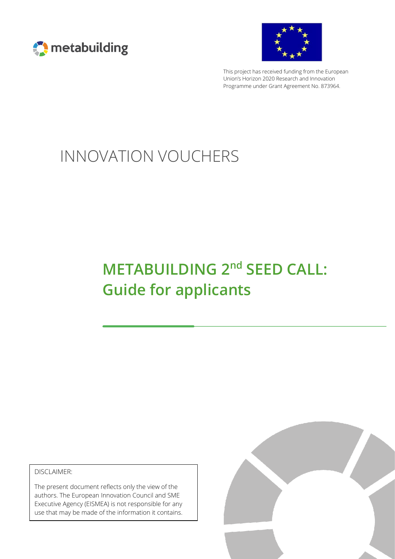



This project has received funding from the European Union's Horizon 2020 Research and Innovation Programme under Grant Agreement No. 873964.

# INNOVATION VOUCHERS

# **METABUILDING 2<sup>nd</sup> SEED CALL: Guide for applicants**

DISCLAIMER:

The present document reflects only the view of the authors. The European Innovation Council and SME Executive Agency (EISMEA) is not responsible for any use that may be made of the information it contains.

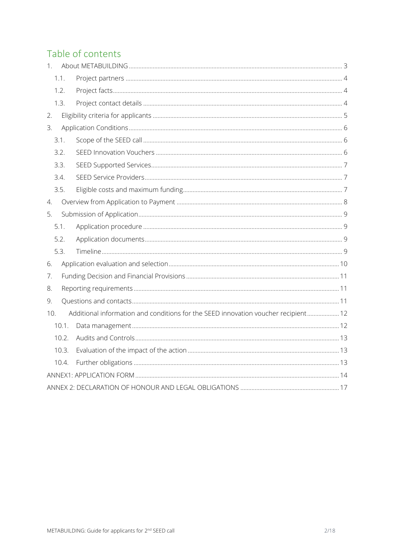# Table of contents

| 1.                    |       |                                                                                    |  |  |
|-----------------------|-------|------------------------------------------------------------------------------------|--|--|
|                       | 1.1.  |                                                                                    |  |  |
|                       | 1.2.  |                                                                                    |  |  |
|                       | 1.3.  |                                                                                    |  |  |
| 2.                    |       |                                                                                    |  |  |
| 3.                    |       |                                                                                    |  |  |
|                       | 3.1.  |                                                                                    |  |  |
|                       | 3.2.  |                                                                                    |  |  |
|                       | 3.3.  |                                                                                    |  |  |
|                       | 3.4.  |                                                                                    |  |  |
|                       | 3.5.  |                                                                                    |  |  |
| $\mathcal{A}_{\cdot}$ |       |                                                                                    |  |  |
| 5.                    |       |                                                                                    |  |  |
|                       | 5.1.  |                                                                                    |  |  |
|                       | 5.2.  |                                                                                    |  |  |
|                       | 5.3.  |                                                                                    |  |  |
| 6.                    |       |                                                                                    |  |  |
| 7.                    |       |                                                                                    |  |  |
| 8.                    |       |                                                                                    |  |  |
| 9.                    |       |                                                                                    |  |  |
| 10.                   |       | Additional information and conditions for the SEED innovation voucher recipient 12 |  |  |
|                       | 10.1. |                                                                                    |  |  |
|                       | 10.2. |                                                                                    |  |  |
|                       | 10.3. |                                                                                    |  |  |
|                       | 10.4. |                                                                                    |  |  |
|                       |       |                                                                                    |  |  |
|                       |       |                                                                                    |  |  |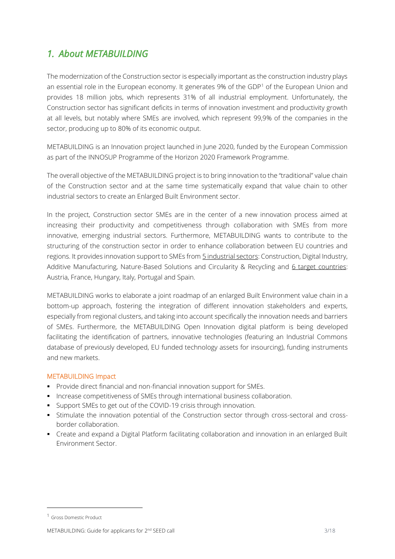# *1. About METABUILDING*

The modernization of the Construction sector is especially important as the construction industry plays an essential role in the European economy. It generates 9% of the GDP<sup>1</sup> of the European Union and provides 18 million jobs, which represents 31% of all industrial employment. Unfortunately, the Construction sector has significant deficits in terms of innovation investment and productivity growth at all levels, but notably where SMEs are involved, which represent 99,9% of the companies in the sector, producing up to 80% of its economic output.

METABUILDING is an Innovation project launched in June 2020, funded by the European Commission as part of the INNOSUP Programme of the Horizon 2020 Framework Programme.

The overall objective of the METABUILDING project is to bring innovation to the "traditional" value chain of the Construction sector and at the same time systematically expand that value chain to other industrial sectors to create an Enlarged Built Environment sector.

In the project, Construction sector SMEs are in the center of a new innovation process aimed at increasing their productivity and competitiveness through collaboration with SMEs from more innovative, emerging industrial sectors. Furthermore, METABUILDING wants to contribute to the structuring of the construction sector in order to enhance collaboration between EU countries and regions. It provides innovation support to SMEs from 5 industrial sectors: Construction, Digital Industry, Additive Manufacturing, Nature-Based Solutions and Circularity & Recycling and 6 target countries: Austria, France, Hungary, Italy, Portugal and Spain.

METABUILDING works to elaborate a joint roadmap of an enlarged Built Environment value chain in a bottom-up approach, fostering the integration of different innovation stakeholders and experts, especially from regional clusters, and taking into account specifically the innovation needs and barriers of SMEs. Furthermore, the METABUILDING Open Innovation digital platform is being developed facilitating the identification of partners, innovative technologies (featuring an Industrial Commons database of previously developed, EU funded technology assets for insourcing), funding instruments and new markets.

#### METABUILDING Impact

- Provide direct financial and non-financial innovation support for SMEs.
- **Increase competitiveness of SMEs through international business collaboration.**
- Support SMEs to get out of the COVID-19 crisis through innovation.
- **•** Stimulate the innovation potential of the Construction sector through cross-sectoral and crossborder collaboration.
- Create and expand a Digital Platform facilitating collaboration and innovation in an enlarged Built Environment Sector.

<sup>1</sup> Gross Domestic Product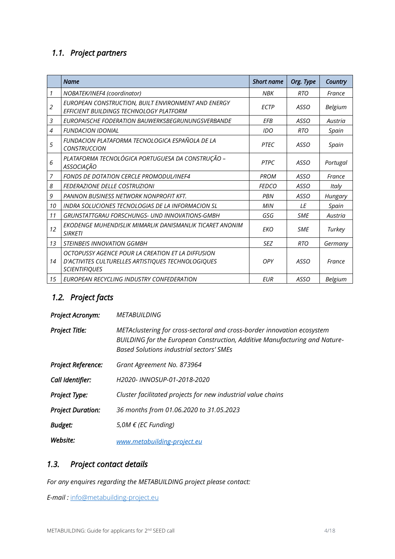### *1.1. Project partners*

|    | <b>Name</b>                                                                                                                     | <b>Short name</b> | Org. Type   | Country  |
|----|---------------------------------------------------------------------------------------------------------------------------------|-------------------|-------------|----------|
| 1  | NOBATEK/INEF4 (coordinator)                                                                                                     | NBK               | <b>RTO</b>  | France   |
| 2  | EUROPEAN CONSTRUCTION, BUILT ENVIRONMENT AND ENERGY<br>EFFICIENT BUILDINGS TECHNOLOGY PLATFORM                                  | <b>ECTP</b>       | ASSO        | Belgium  |
| 3  | EUROPAISCHE FODERATION BAUWERKSBEGRUNUNGSVERBANDE                                                                               | EFB               | ASSO        | Austria  |
| 4  | <b>FUNDACION IDONIAL</b>                                                                                                        | IDO               | <b>RTO</b>  | Spain    |
| 5  | FUNDACION PLATAFORMA TECNOLOGICA ESPAÑOLA DE LA<br><b>CONSTRUCCION</b>                                                          | <b>PTEC</b>       | ASSO        | Spain    |
| 6  | PLATAFORMA TECNOLÓGICA PORTUGUESA DA CONSTRUÇÃO -<br><b>ASSOCIAÇÃO</b>                                                          | <b>PTPC</b>       | ASSO        | Portugal |
| 7  | <b>FONDS DE DOTATION CERCLE PROMODUL/INEF4</b>                                                                                  | <b>PROM</b>       | <b>ASSO</b> | France   |
| 8  | <b>FEDERAZIONE DELLE COSTRUZIONI</b>                                                                                            | <b>FEDCO</b>      | <b>ASSO</b> | Italy    |
| 9  | <b>PANNON BUSINESS NETWORK NONPROFIT KFT.</b>                                                                                   | PBN               | <b>ASSO</b> | Hungary  |
| 10 | INDRA SOLUCIONES TECNOLOGIAS DE LA INFORMACION SL                                                                               | MIN               | IF          | Spain    |
| 11 | GRUNSTATTGRAU FORSCHUNGS- UND INNOVATIONS-GMBH                                                                                  | GSG               | <b>SME</b>  | Austria  |
| 12 | EKODENGE MUHENDISLIK MIMARLIK DANISMANLIK TICARET ANONIM<br><b>SIRKFTI</b>                                                      | <b>EKO</b>        | <b>SME</b>  | Turkey   |
| 13 | <b>STEINBEIS INNOVATION GGMBH</b>                                                                                               | <b>SEZ</b>        | <b>RTO</b>  | Germany  |
| 14 | OCTOPUSSY AGENCE POUR LA CREATION ET LA DIFFUSION<br>D'ACTIVITES CULTURELLES ARTISTIQUES TECHNOLOGIQUES<br><b>SCIENTIFIQUES</b> | OPY               | ASSO        | France   |
| 15 | EUROPEAN RECYCLING INDUSTRY CONFEDERATION                                                                                       | <b>EUR</b>        | <b>ASSO</b> | Belgium  |

# *1.2. Project facts*

| <b>Project Acronym:</b>   | METABUILDING                                                                                                                                                                                             |  |
|---------------------------|----------------------------------------------------------------------------------------------------------------------------------------------------------------------------------------------------------|--|
| <b>Project Title:</b>     | METAclustering for cross-sectoral and cross-border innovation ecosystem<br>BUILDING for the European Construction, Additive Manufacturing and Nature-<br><b>Based Solutions industrial sectors' SMEs</b> |  |
| <b>Project Reference:</b> | Grant Agreement No. 873964                                                                                                                                                                               |  |
| Call Identifier:          | H2020- INNOSUP-01-2018-2020                                                                                                                                                                              |  |
| <b>Project Type:</b>      | Cluster facilitated projects for new industrial value chains                                                                                                                                             |  |
| <b>Project Duration:</b>  | 36 months from 01.06.2020 to 31.05.2023                                                                                                                                                                  |  |
| <b>Budget:</b>            | 5,0M € (EC Funding)                                                                                                                                                                                      |  |
| Website:                  | www.metabuilding-project.eu                                                                                                                                                                              |  |

## *1.3. Project contact details*

*For any enquires regarding the METABUILDING project please contact:*

*E-mail :* [info@metabuilding-project.eu](mailto:info@metabuilding-project.eu)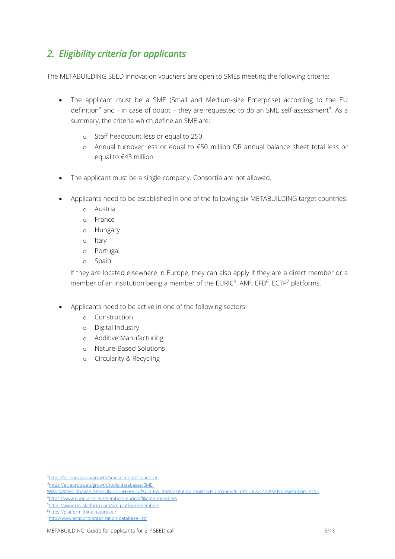# *2. Eligibility criteria for applicants*

The METABUILDING SEED innovation vouchers are open to SMEs meeting the following criteria:

- The applicant must be a SME (Small and Medium-size Enterprise) according to the EU definition<sup>2</sup> and - in case of doubt – they are requested to do an SME self-assessment<sup>3</sup>. As a summary, the criteria which define an SME are:
	- o Staff headcount less or equal to 250
	- o Annual turnover less or equal to €50 million OR annual balance sheet total less or equal to €43 million
- The applicant must be a single company. Consortia are not allowed.
- Applicants need to be established in one of the following six METABUILDING target countries:
	- o Austria
	- o France
	- o Hungary
	- o Italy
	- o Portugal
	- o Spain

If they are located elsewhere in Europe, they can also apply if they are a direct member or a member of an institution being a member of the EURIC<sup>4</sup>, AM<sup>5</sup>, EFB<sup>6</sup>, ECTP<sup>7</sup> platforms.

- Applicants need to be active in one of the following sectors:
	- o Construction
	- o Digital Industry
	- o Additive Manufacturing
	- o Nature-Based Solutions
	- o Circularity & Recycling

<sup>&</sup>lt;sup>2</sup>[https://ec.europa.eu/growth/smes/sme-definition\\_en](https://ec.europa.eu/growth/smes/sme-definition_en)

<sup>3&</sup>lt;br>[https://ec.europa.eu/growth/tools-databases/SME-](https://ec.europa.eu/growth/tools-databases/SME-Wizard/smeq.do;SME_SESSION_ID=5HEBVDufACO_FWLltBn97Zg6Cq2_JougiskyFLCBW6E6gE1pm1Qu!2141392090?execution=e1s1)

Wizard/smeg.do;SME\_SESSION\_ID=5HEBVDufACO\_FWLltBn97Zg6Cq2\_JougiskyFLCBW6E6gE1pm1Qu!2141392090?execution=e1s1 <sup>4</sup><https://www.euric-aisbl.eu/members-euric/affiliated-members>

<sup>5</sup><https://www.rm-platform.com/am-platform/members>

<sup>6</sup><https://platform.think-nature.eu/>

<sup>7</sup><http://www.ectp.org/organization-database-list/>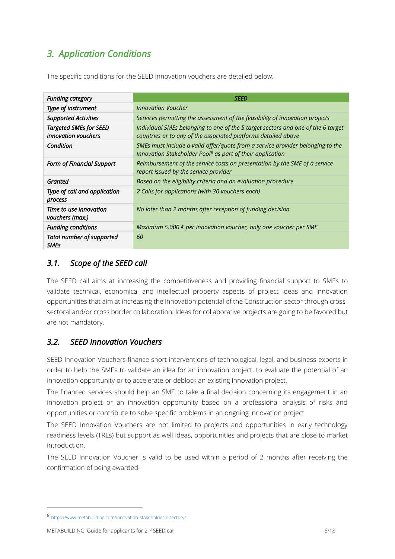# *3. Application Conditions*

The specific conditions for the SEED innovation vouchers are detailed below.

| <b>Funding category</b>                                     | <b>SEED</b>                                                                                                                                             |
|-------------------------------------------------------------|---------------------------------------------------------------------------------------------------------------------------------------------------------|
| Type of instrument                                          | <b>Innovation Voucher</b>                                                                                                                               |
| <b>Supported Activities</b>                                 | Services permitting the assessment of the feasibility of innovation projects                                                                            |
| <b>Targeted SMEs for SEED</b><br><i>innovation</i> vouchers | Individual SMEs belonging to one of the 5 target sectors and one of the 6 target<br>countries or to any of the associated platforms detailed above      |
| Condition                                                   | SMEs must include a valid offer/quote from a service provider belonging to the<br>Innovation Stakeholder Pool <sup>8</sup> as part of their application |
| <b>Form of Financial Support</b>                            | Reimbursement of the service costs on presentation by the SME of a service<br>report issued by the service provider                                     |
| Granted                                                     | Based on the eligibility criteria and an evaluation procedure                                                                                           |
| Type of call and application<br>process                     | 2 Calls for applications (with 30 vouchers each)                                                                                                        |
| Time to use innovation<br>vouchers (max.)                   | No later than 2 months after reception of funding decision                                                                                              |
| <b>Funding conditions</b>                                   | Maximum 5.000 € per innovation voucher, only one voucher per SME                                                                                        |
| Total number of supported<br><b>SMEs</b>                    | 60                                                                                                                                                      |

### *3.1. Scope of the SEED call*

The SEED call aims at increasing the competitiveness and providing financial support to SMEs to validate technical, economical and intellectual property aspects of project ideas and innovation opportunities that aim at increasing the innovation potential of the Construction sector through crosssectoral and/or cross border collaboration. Ideas for collaborative projects are going to be favored but are not mandatory.

### *3.2. SEED Innovation Vouchers*

SEED Innovation Vouchers finance short interventions of technological, legal, and business experts in order to help the SMEs to validate an idea for an innovation project, to evaluate the potential of an innovation opportunity or to accelerate or deblock an existing innovation project.

The financed services should help an SME to take a final decision concerning its engagement in an innovation project or an innovation opportunity based on a professional analysis of risks and opportunities or contribute to solve specific problems in an ongoing innovation project.

The SEED Innovation Vouchers are not limited to projects and opportunities in early technology readiness levels (TRLs) but support as well ideas, opportunities and projects that are close to market introduction.

The SEED Innovation Voucher is valid to be used within a period of 2 months after receiving the confirmation of being awarded.

<sup>8</sup> <https://www.metabuilding.com/innovation-stakeholder-directory/>

METABUILDING: Guide for applicants for 2<sup>nd</sup> SEED call 6/18 and 500 minutes of 18 and 500 minutes of 18 and 6/18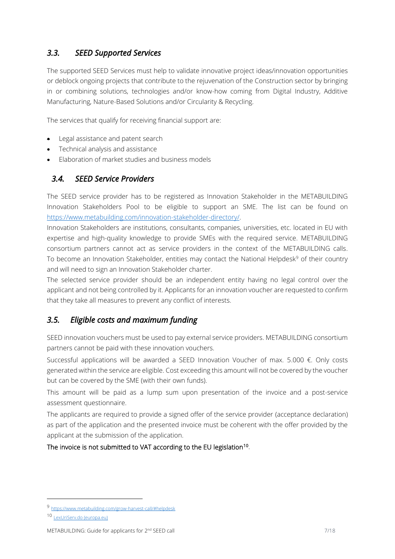### *3.3. SEED Supported Services*

The supported SEED Services must help to validate innovative project ideas/innovation opportunities or deblock ongoing projects that contribute to the rejuvenation of the Construction sector by bringing in or combining solutions, technologies and/or know-how coming from Digital Industry, Additive Manufacturing, Nature-Based Solutions and/or Circularity & Recycling.

The services that qualify for receiving financial support are:

- Legal assistance and patent search
- Technical analysis and assistance
- Elaboration of market studies and business models

### *3.4. SEED Service Providers*

The SEED service provider has to be registered as Innovation Stakeholder in the METABUILDING Innovation Stakeholders Pool to be eligible to support an SME. The list can be found on [https://www.metabuilding.com/innovation-stakeholder-directory/.](https://www.metabuilding.com/innovation-stakeholder-directory/) 

Innovation Stakeholders are institutions, consultants, companies, universities, etc. located in EU with expertise and high-quality knowledge to provide SMEs with the required service. METABUILDING consortium partners cannot act as service providers in the context of the METABUILDING calls. To become an Innovation Stakeholder, entities may contact the National Helpdesk<sup>9</sup> of their country and will need to sign an Innovation Stakeholder charter.

The selected service provider should be an independent entity having no legal control over the applicant and not being controlled by it. Applicants for an innovation voucher are requested to confirm that they take all measures to prevent any conflict of interests.

### *3.5. Eligible costs and maximum funding*

SEED innovation vouchers must be used to pay external service providers. METABUILDING consortium partners cannot be paid with these innovation vouchers.

Successful applications will be awarded a SEED Innovation Voucher of max. 5.000 €. Only costs generated within the service are eligible. Cost exceeding this amount will not be covered by the voucher but can be covered by the SME (with their own funds).

This amount will be paid as a lump sum upon presentation of the invoice and a post-service assessment questionnaire.

The applicants are required to provide a signed offer of the service provider (acceptance declaration) as part of the application and the presented invoice must be coherent with the offer provided by the applicant at the submission of the application.

#### The invoice is not submitted to VAT according to the EU legislation<sup>10</sup>.

<sup>9</sup> <https://www.metabuilding.com/grow-harvest-call/#helpdesk>

<sup>10</sup> [LexUriServ.do \(europa.eu\)](https://eur-lex.europa.eu/LexUriServ/LexUriServ.do?uri=OJ:C:2004:310:0261:0266:EN:PDF)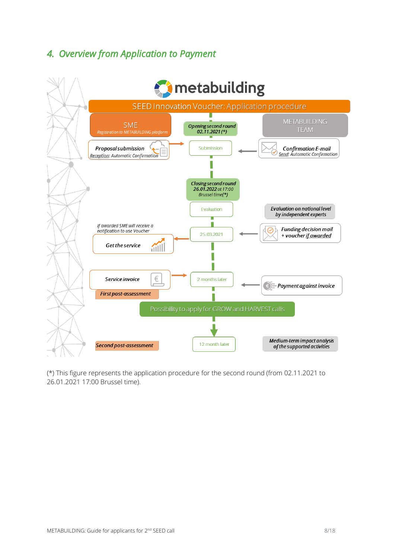# *4. Overview from Application to Payment*



(\*) This figure represents the application procedure for the second round (from 02.11.2021 to 26.01.2021 17:00 Brussel time).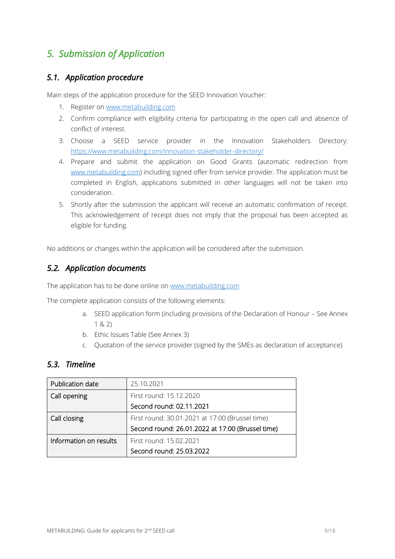# *5. Submission of Application*

### *5.1. Application procedure*

Main steps of the application procedure for the SEED Innovation Voucher:

- 1. Register on [www.metabuilding.com](http://www.metabuilding.com/)
- 2. Confirm compliance with eligibility criteria for participating in the open call and absence of conflict of interest.
- 3. Choose a SEED service provider in the Innovation Stakeholders Directory: <https://www.metabuilding.com/innovation-stakeholder-directory/>
- 4. Prepare and submit the application on Good Grants (automatic redirection from [www.metabuilding.com\)](http://www.metabuilding.com/) including signed offer from service provider. The application must be completed in English, applications submitted in other languages will not be taken into consideration.
- 5. Shortly after the submission the applicant will receive an automatic confirmation of receipt. This acknowledgement of receipt does not imply that the proposal has been accepted as eligible for funding.

No additions or changes within the application will be considered after the submission.

### *5.2. Application documents*

The application has to be done online on [www.metabuilding.com](file:///C:/Users/adasse/AppData/Local/Microsoft/Windows/INetCache/Content.Outlook/ZSUY01KG/www.metabuilding.com)

The complete application consists of the following elements:

- a. SEED application form (including provisions of the Declaration of Honour See Annex 1 & 2)
- b. Ethic Issues Table (See Annex 3)
- c. Quotation of the service provider (signed by the SMEs as declaration of acceptance)

### *5.3. Timeline*

| Publication date       | 25.10.2021                                       |  |
|------------------------|--------------------------------------------------|--|
| Call opening           | First round: 15.12.2020                          |  |
|                        | Second round: 02.11.2021                         |  |
| Call closing           | First round: 30.01.2021 at 17:00 (Brussel time)  |  |
|                        | Second round: 26.01.2022 at 17:00 (Brussel time) |  |
| Information on results | First round: 15.02.2021                          |  |
|                        | Second round: 25.03.2022                         |  |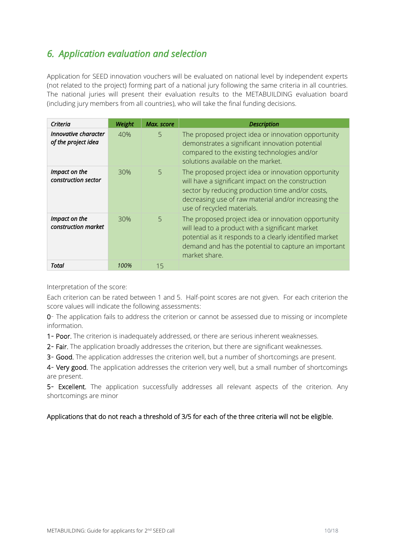# *6. Application evaluation and selection*

Application for SEED innovation vouchers will be evaluated on national level by independent experts (not related to the project) forming part of a national jury following the same criteria in all countries. The national juries will present their evaluation results to the METABUILDING evaluation board (including jury members from all countries), who will take the final funding decisions.

| Criteria                                    | Weight | Max. score | <b>Description</b>                                                                                                                                                                                                                                  |
|---------------------------------------------|--------|------------|-----------------------------------------------------------------------------------------------------------------------------------------------------------------------------------------------------------------------------------------------------|
| Innovative character<br>of the project idea | 40%    | 5          | The proposed project idea or innovation opportunity<br>demonstrates a significant innovation potential<br>compared to the existing technologies and/or<br>solutions available on the market.                                                        |
| Impact on the<br>construction sector        | 30%    | 5          | The proposed project idea or innovation opportunity<br>will have a significant impact on the construction<br>sector by reducing production time and/or costs,<br>decreasing use of raw material and/or increasing the<br>use of recycled materials. |
| Impact on the<br>construction market        | 30%    | 5          | The proposed project idea or innovation opportunity<br>will lead to a product with a significant market<br>potential as it responds to a clearly identified market<br>demand and has the potential to capture an important<br>market share.         |
| Total                                       | 100%   | 15         |                                                                                                                                                                                                                                                     |

Interpretation of the score:

Each criterion can be rated between 1 and 5. Half-point scores are not given. For each criterion the score values will indicate the following assessments:

0– The application fails to address the criterion or cannot be assessed due to missing or incomplete information.

1– Poor. The criterion is inadequately addressed, or there are serious inherent weaknesses.

2- Fair. The application broadly addresses the criterion, but there are significant weaknesses.

3– Good. The application addresses the criterion well, but a number of shortcomings are present.

4- Very good. The application addresses the criterion very well, but a small number of shortcomings are present.

5- Excellent. The application successfully addresses all relevant aspects of the criterion. Any shortcomings are minor

#### Applications that do not reach a threshold of 3/5 for each of the three criteria will not be eligible.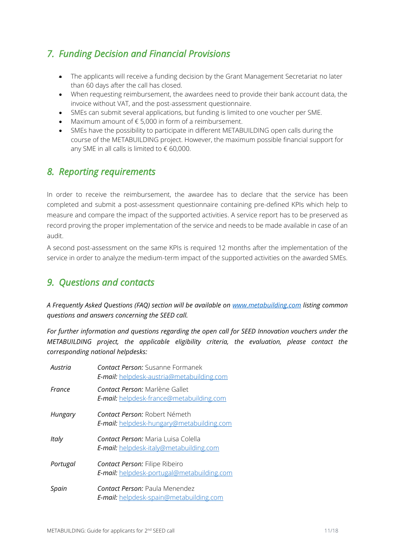# *7. Funding Decision and Financial Provisions*

- The applicants will receive a funding decision by the Grant Management Secretariat no later than 60 days after the call has closed.
- When requesting reimbursement, the awardees need to provide their bank account data, the invoice without VAT, and the post-assessment questionnaire.
- SMEs can submit several applications, but funding is limited to one voucher per SME.
- Maximum amount of € 5,000 in form of a reimbursement.
- SMEs have the possibility to participate in different METABUILDING open calls during the course of the METABUILDING project. However, the maximum possible financial support for any SME in all calls is limited to  $\epsilon$  60,000.

### *8. Reporting requirements*

In order to receive the reimbursement, the awardee has to declare that the service has been completed and submit a post-assessment questionnaire containing pre-defined KPIs which help to measure and compare the impact of the supported activities. A service report has to be preserved as record proving the proper implementation of the service and needs to be made available in case of an audit.

A second post-assessment on the same KPIs is required 12 months after the implementation of the service in order to analyze the medium-term impact of the supported activities on the awarded SMEs.

### *9. Questions and contacts*

*A Frequently Asked Questions (FAQ) section will be available on [www.metabuilding.com](http://www.metabuilding.com/) listing common questions and answers concerning the SEED call.*

*For further information and questions regarding the open call for SEED Innovation vouchers under the METABUILDING project, the applicable eligibility criteria, the evaluation, please contact the corresponding national helpdesks:*

| Austria  | <b>Contact Person:</b> Susanne Formanek<br>E-mail: helpdesk-austria@metabuilding.com       |
|----------|--------------------------------------------------------------------------------------------|
| France   | Contact Person: Marlène Gallet<br><b>E-mail:</b> helpdesk-france@metabuilding.com          |
| Hungary  | Contact Person: Robert Németh<br>E-mail: helpdesk-hungary@metabuilding.com                 |
| Italy    | Contact Person: Maria Luisa Colella<br><b>E-mail:</b> helpdesk-italy@metabuilding.com      |
| Portugal | <b>Contact Person: Filipe Ribeiro</b><br><b>E-mail:</b> helpdesk-portugal@metabuilding.com |
| Spain    | <b>Contact Person: Paula Menendez</b><br>E-mail: helpdesk-spain@metabuilding.com           |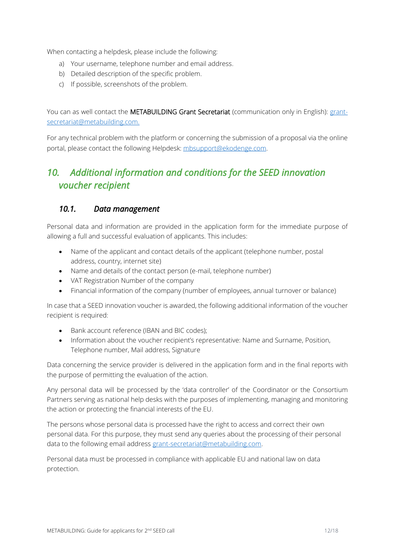When contacting a helpdesk, please include the following:

- a) Your username, telephone number and email address.
- b) Detailed description of the specific problem.
- c) If possible, screenshots of the problem.

You can as well contact the METABUILDING Grant Secretariat (communication only in English): [grant](mailto:grant-secretariat@metabuilding.com)[secretariat@metabuilding.com.](mailto:grant-secretariat@metabuilding.com)

For any technical problem with the platform or concerning the submission of a proposal via the online portal, please contact the following Helpdesk: mbsupport@ekodenge.com.

## *10. Additional information and conditions for the SEED innovation voucher recipient*

### *10.1. Data management*

Personal data and information are provided in the application form for the immediate purpose of allowing a full and successful evaluation of applicants. This includes:

- Name of the applicant and contact details of the applicant (telephone number, postal address, country, internet site)
- Name and details of the contact person (e-mail, telephone number)
- VAT Registration Number of the company
- Financial information of the company (number of employees, annual turnover or balance)

In case that a SEED innovation voucher is awarded, the following additional information of the voucher recipient is required:

- Bank account reference (IBAN and BIC codes);
- Information about the voucher recipient's representative: Name and Surname, Position, Telephone number, Mail address, Signature

Data concerning the service provider is delivered in the application form and in the final reports with the purpose of permitting the evaluation of the action.

Any personal data will be processed by the 'data controller' of the Coordinator or the Consortium Partners serving as national help desks with the purposes of implementing, managing and monitoring the action or protecting the financial interests of the EU.

The persons whose personal data is processed have the right to access and correct their own personal data. For this purpose, they must send any queries about the processing of their personal data to the following email address [grant-secretariat@metabuilding.com.](mailto:grant-secretariat@metabuilding.com)

Personal data must be processed in compliance with applicable EU and national law on data protection.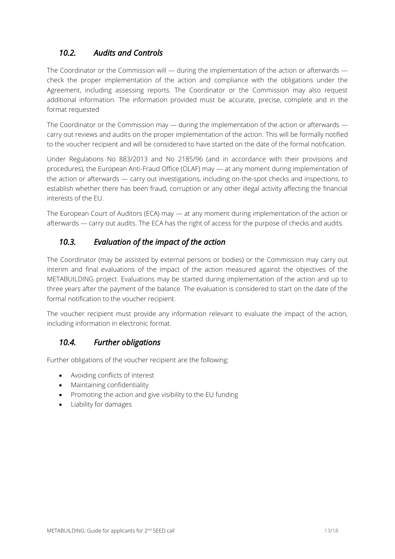### *10.2. Audits and Controls*

The Coordinator or the Commission will — during the implementation of the action or afterwards check the proper implementation of the action and compliance with the obligations under the Agreement, including assessing reports. The Coordinator or the Commission may also request additional information. The information provided must be accurate, precise, complete and in the format requested

The Coordinator or the Commission may — during the implementation of the action or afterwards carry out reviews and audits on the proper implementation of the action. This will be formally notified to the voucher recipient and will be considered to have started on the date of the formal notification.

Under Regulations No 883/2013 and No 2185/96 (and in accordance with their provisions and procedures), the European Anti-Fraud Office (OLAF) may — at any moment during implementation of the action or afterwards — carry out investigations, including on-the-spot checks and inspections, to establish whether there has been fraud, corruption or any other illegal activity affecting the financial interests of the EU.

The European Court of Auditors (ECA) may — at any moment during implementation of the action or afterwards — carry out audits. The ECA has the right of access for the purpose of checks and audits.

### *10.3. Evaluation of the impact of the action*

The Coordinator (may be assisted by external persons or bodies) or the Commission may carry out interim and final evaluations of the impact of the action measured against the objectives of the METABUILDING project. Evaluations may be started during implementation of the action and up to three years after the payment of the balance. The evaluation is considered to start on the date of the formal notification to the voucher recipient.

The voucher recipient must provide any information relevant to evaluate the impact of the action, including information in electronic format.

### *10.4. Further obligations*

Further obligations of the voucher recipient are the following:

- Avoiding conflicts of interest
- Maintaining confidentiality
- Promoting the action and give visibility to the EU funding
- Liability for damages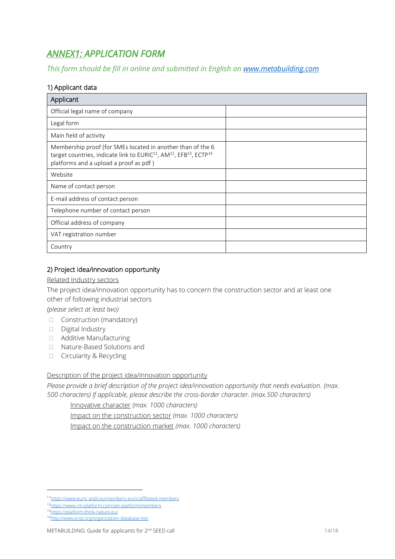# *ANNEX1: APPLICATION FORM*

*This form should be fill in online and submitted in English on [www.metabuilding.com](file:///C:/Users/adasse/AppData/Local/Microsoft/Windows/INetCache/Content.Outlook/ZSUY01KG/www.metabuilding.com)*

### 1) Applicant data

| Applicant                                                                                                                                                                                                                   |  |  |  |  |
|-----------------------------------------------------------------------------------------------------------------------------------------------------------------------------------------------------------------------------|--|--|--|--|
| Official legal name of company                                                                                                                                                                                              |  |  |  |  |
| Legal form                                                                                                                                                                                                                  |  |  |  |  |
| Main field of activity                                                                                                                                                                                                      |  |  |  |  |
| Membership proof (for SMEs located in another than of the 6<br>target countries, indicate link to EURIC <sup>11</sup> , AM <sup>12</sup> , EFB <sup>13</sup> , ECTP <sup>14</sup><br>platforms and a upload a proof as pdf) |  |  |  |  |
| Website                                                                                                                                                                                                                     |  |  |  |  |
| Name of contact person                                                                                                                                                                                                      |  |  |  |  |
| E-mail address of contact person                                                                                                                                                                                            |  |  |  |  |
| Telephone number of contact person                                                                                                                                                                                          |  |  |  |  |
| Official address of company                                                                                                                                                                                                 |  |  |  |  |
| VAT registration number                                                                                                                                                                                                     |  |  |  |  |
| Country                                                                                                                                                                                                                     |  |  |  |  |

#### 2) Project idea/innovation opportunity

#### Related Industry sectors

The project idea/innovation opportunity has to concern the construction sector and at least one other of following industrial sectors

*(please select at least two)*

- $\Box$  Construction (mandatory)
- Digital Industry
- Additive Manufacturing
- □ Nature-Based Solutions and
- □ Circularity & Recycling

#### Description of the project idea/innovation opportunity

*Please provide a brief description of the project idea/innovation opportunity that needs evaluation. (max. 500 characters) If applicable, please describe the cross-border character. (max.500 characters)*

Innovative character *(max. 1000 characters)*

Impact on the construction sector *(max. 1000 characters)*

Impact on the construction market *(max. 1000 characters)*

<sup>13</sup><https://platform.think-nature.eu/>

<sup>11</sup><https://www.euric-aisbl.eu/members-euric/affiliated-members>

<sup>12</sup><https://www.rm-platform.com/am-platform/members>

<sup>14</sup><http://www.ectp.org/organization-database-list/>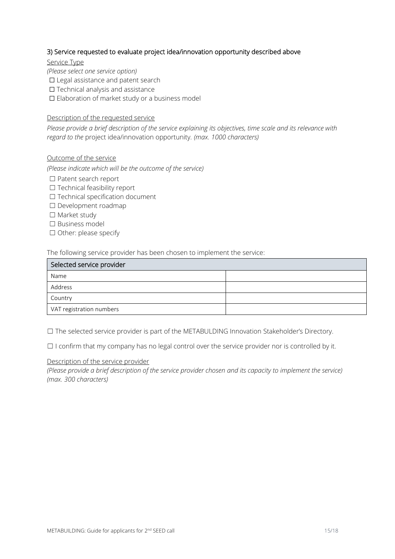#### 3) Service requested to evaluate project idea/innovation opportunity described above

Service Type

*(Please select one service option)*

□ Legal assistance and patent search

- ☐ Technical analysis and assistance
- ☐ Elaboration of market study or a business model

#### Description of the requested service

*Please provide a brief description of the service explaining its objectives, time scale and its relevance with regard to the* project idea/innovation opportunity*. (max. 1000 characters)*

#### Outcome of the service

*(Please indicate which will be the outcome of the service)*

- ☐ Patent search report
- ☐ Technical feasibility report
- ☐ Technical specification document
- ☐ Development roadmap
- ☐ Market study
- ☐ Business model
- ☐ Other: please specify

The following service provider has been chosen to implement the service:

| Selected service provider |  |  |
|---------------------------|--|--|
| Name                      |  |  |
| Address                   |  |  |
| Country                   |  |  |
| VAT registration numbers  |  |  |

☐ The selected service provider is part of the METABULDING Innovation Stakeholder's Directory.

☐ I confirm that my company has no legal control over the service provider nor is controlled by it.

#### Description of the service provider

*(Please provide a brief description of the service provider chosen and its capacity to implement the service) (max. 300 characters)*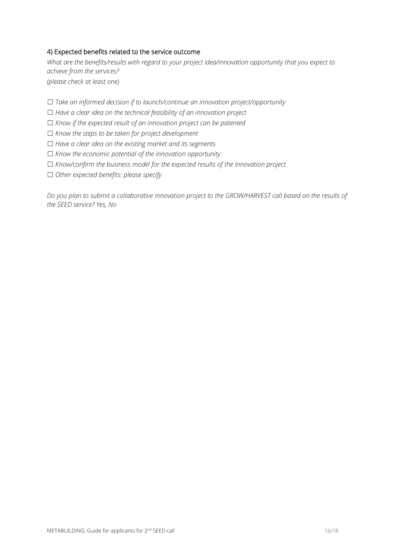#### 4) Expected benefits related to the service outcome

*What are the benefits/results with regard to your project idea/innovation opportunity that you expect to achieve from the services? (please check at least one)*

☐ *Take an informed decision if to launch/continue an innovation project/opportunity*

☐ *Have a clear idea on the technical feasibility of an innovation project*

☐ *Know if the expected result of an innovation project can be patented*

☐ *Know the steps to be taken for project development*

☐ *Have a clear idea on the existing market and its segments*

☐ *Know the economic potential of the innovation opportunity*

☐ *Know/confirm the business model for the expected results of the innovation project*

☐ *Other expected benefits: please specify*

*Do you plan to submit a collaborative innovation project to the GROW/HARVEST call based on the results of the SEED service? Yes, No*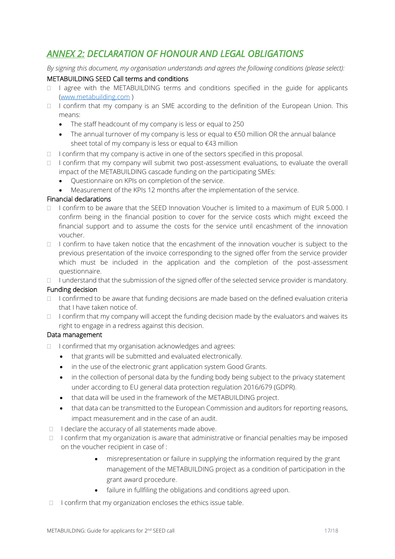# *ANNEX 2: DECLARATION OF HONOUR AND LEGAL OBLIGATIONS*

*By signing this document, my organisation understands and agrees the following conditions (please select):*

#### METABUILDING SEED Call terms and conditions

- $\Box$  I agree with the METABUILDING terms and conditions specified in the guide for applicants [\(www.metabuilding.com](http://www.metabuilding.com/) )
- $\Box$  I confirm that my company is an SME according to the definition of the European Union. This means:
	- The staff headcount of my company is less or equal to 250
	- The annual turnover of my company is less or equal to €50 million OR the annual balance sheet total of my company is less or equal to €43 million
- $\Box$  I confirm that my company is active in one of the sectors specified in this proposal.
- $\Box$  I confirm that my company will submit two post-assessment evaluations, to evaluate the overall impact of the METABUILDING cascade funding on the participating SMEs:
	- Questionnaire on KPIs on completion of the service.
	- Measurement of the KPIs 12 months after the implementation of the service.

#### Financial declarations

- $\Box$  I confirm to be aware that the SEED Innovation Voucher is limited to a maximum of EUR 5.000. I confirm being in the financial position to cover for the service costs which might exceed the financial support and to assume the costs for the service until encashment of the innovation voucher.
- $\Box$  I confirm to have taken notice that the encashment of the innovation voucher is subject to the previous presentation of the invoice corresponding to the signed offer from the service provider which must be included in the application and the completion of the post-assessment questionnaire.

I understand that the submission of the signed offer of the selected service provider is mandatory.

#### Funding decision

- $\Box$  I confirmed to be aware that funding decisions are made based on the defined evaluation criteria that I have taken notice of.
- $\Box$  I confirm that my company will accept the funding decision made by the evaluators and waives its right to engage in a redress against this decision.

#### Data management

- $\Box$  I confirmed that my organisation acknowledges and agrees:
	- that grants will be submitted and evaluated electronically.
	- in the use of the electronic grant application system Good Grants.
	- in the collection of personal data by the funding body being subject to the privacy statement under according to EU general data protection regulation 2016/679 (GDPR).
	- that data will be used in the framework of the METABUILDING project.
	- that data can be transmitted to the European Commission and auditors for reporting reasons, impact measurement and in the case of an audit.
- $\Box$  I declare the accuracy of all statements made above.
- $\Box$  I confirm that my organization is aware that administrative or financial penalties may be imposed on the voucher recipient in case of :
	- misrepresentation or failure in supplying the information required by the grant management of the METABUILDING project as a condition of participation in the grant award procedure.
	- failure in fullfiling the obligations and conditions agreed upon.
- $\Box$  I confirm that my organization encloses the ethics issue table.